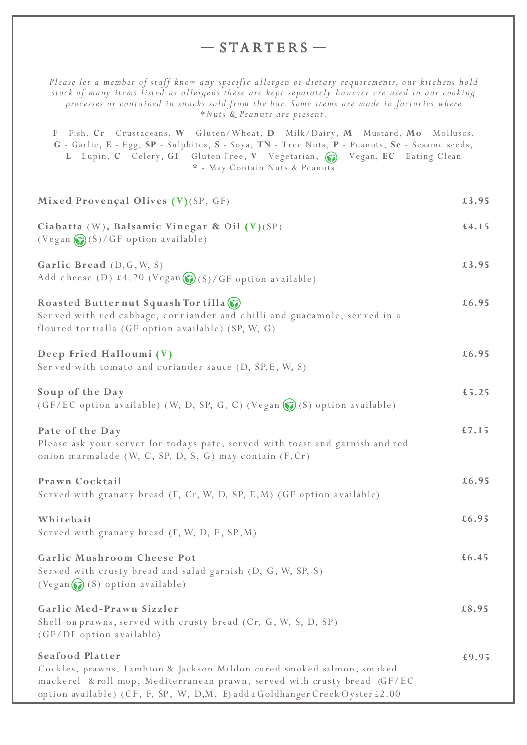## $-$ STARTERS  $-$

*Please let a member of staff know any specific allergen or dietary requirements, our kitchens hold stock of many items listed as allergens these are kept separately however are used in our cooking processes or contained in snacks sold from the bar. Some items are made in factories where \*Nuts & Peanuts are present.*

**F** - Fish, **Cr** - Crustaceans, **W** - Gluten/Wheat, **D** - Milk/Dairy, **M** - Mustard, **Mo** - Molluscs, **G** - Garlic, **E** - Egg, **SP** - Sulphites, **S** - Soya, **TN** - Tree Nuts, **P** - Peanuts, **Se** - Sesame seeds, L - Lupin, C - Celery, GF - Gluten Free, V - Vegetarian,  $\circledbullet$  - Vegan, EC - Eating Clean **\*** - May Contain Nuts & Peanuts

| Mixed Provençal Olives (V)(SP, GF)                                                                                                                                                                                                                    | £3.95 |
|-------------------------------------------------------------------------------------------------------------------------------------------------------------------------------------------------------------------------------------------------------|-------|
| Ciabatta (W), Balsamic Vinegar & Oil (V)(SP)<br>(Vegan (S)/GF option available)                                                                                                                                                                       | £4.15 |
| Garlic Bread (D, G, W, S)<br>Add cheese (D) £4.20 (Vegan (S) / GF option available)                                                                                                                                                                   | £3.95 |
| Roasted Butter nut Squash Tor tilla ()<br>Served with red cabbage, corriander and chilli and guacamole, served in a<br>floured tor tialla (GF option available) (SP, W, G)                                                                            | £6.95 |
| Deep Fried Halloumi (V)<br>Served with tomato and coriander sauce (D, SP, E, W, S)                                                                                                                                                                    | £6.95 |
| Soup of the Day<br>(GF/EC option available) (W, D, SP, G, C) (Vegan (C) (S) option available)                                                                                                                                                         | £5.25 |
| Pate of the Day<br>Please ask your server for todays pate, served with toast and garnish and red<br>onion marmalade (W, C, SP, D, S, G) may contain (F, Cr)                                                                                           | £7.15 |
| Prawn Cocktail<br>Served with granary bread (F, Cr, W, D, SP, E, M) (GF option available)                                                                                                                                                             | £6.95 |
| Whitebait<br>Served with granary bread (F, W, D, E, SP, M)                                                                                                                                                                                            | £6.95 |
| Garlic Mushroom Cheese Pot<br>Served with crusty bread and salad garnish (D, G, W, SP, S)<br>$(Vegan \simeq (S) option available)$                                                                                                                    | £6.45 |
| Garlic Med-Prawn Sizzler<br>Shell-on prawns, served with crusty bread (Cr, G, W, S, D, SP)<br>(GF/DF option available)                                                                                                                                | £8.95 |
| Seafood Platter<br>Cockles, prawns, Lambton & Jackson Maldon cured smoked salmon, smoked<br>mackerel & roll mop, Mediterranean prawn, served with crusty bread (GF/EC<br>option available) (CF, F, SP, W, D,M, E) add a Goldhanger Creek Oyster £2.00 | £9.95 |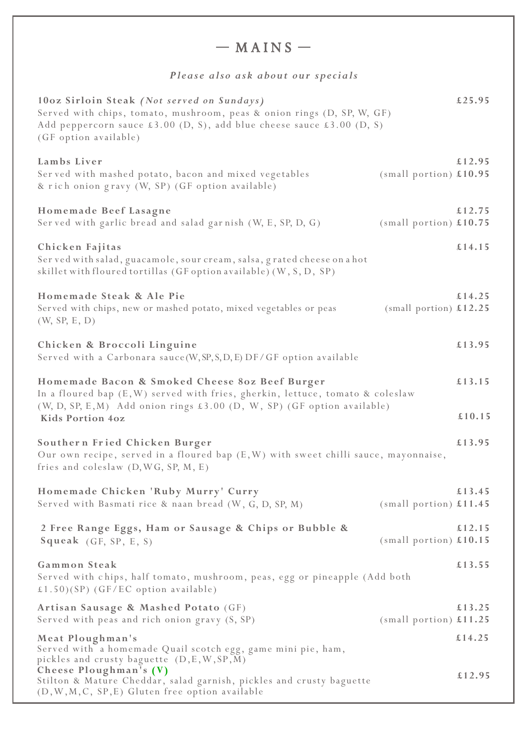| $-$ MAINS $-$                                                                                                                                                                                                                            |                          |                  |  |
|------------------------------------------------------------------------------------------------------------------------------------------------------------------------------------------------------------------------------------------|--------------------------|------------------|--|
| Please also ask about our specials                                                                                                                                                                                                       |                          |                  |  |
| 10oz Sirloin Steak (Not served on Sundays)<br>Served with chips, tomato, mushroom, peas & onion rings (D, SP, W, GF)<br>Add peppercorn sauce $\pounds 3.00$ (D, S), add blue cheese sauce $\pounds 3.00$ (D, S)<br>(GF option available) |                          | £25.95           |  |
| Lambs Liver<br>Served with mashed potato, bacon and mixed vegetables<br>& rich onion gravy (W, SP) (GF option available)                                                                                                                 | $(small$ portion) £10.95 | £12.95           |  |
| Homemade Beef Lasagne<br>Served with garlic bread and salad garnish (W, E, SP, D, G)                                                                                                                                                     | $(small$ portion) £10.75 | £12.75           |  |
| Chicken Fajitas<br>Ser ved with salad, guacamole, sour cream, salsa, grated cheese on a hot<br>skillet with floured tortillas (GF option available) (W, S, D, SP)                                                                        |                          | £14.15           |  |
| Homemade Steak & Ale Pie<br>Served with chips, new or mashed potato, mixed vegetables or peas<br>(W, SP, E, D)                                                                                                                           | (small portion) $£12.25$ | £14.25           |  |
| Chicken & Broccoli Linguine<br>Served with a Carbonara sauce (W, SP, S, D, E) DF/ GF option available                                                                                                                                    |                          | £13.95           |  |
| Homemade Bacon & Smoked Cheese 80z Beef Burger<br>In a floured bap (E, W) served with fries, gherkin, lettuce, tomato & coleslaw<br>(W, D, SP, E, M) Add onion rings £3.00 (D, W, SP) (GF option available)<br><b>Kids Portion 4oz</b>   |                          | £13.15<br>£10.15 |  |
| Southern Fried Chicken Burger<br>Our own recipe, served in a floured bap $(E, W)$ with sweet chilli sauce, mayonnaise,<br>fries and coleslaw (D, WG, SP, M, E)                                                                           |                          | £13.95           |  |
| Homemade Chicken 'Ruby Murry' Curry<br>Served with Basmati rice & naan bread (W, G, D, SP, M)                                                                                                                                            | (small portion) $£11.45$ | £13.45           |  |
| 2 Free Range Eggs, Ham or Sausage & Chips or Bubble &<br>Squeak (GF, SP, E, S)                                                                                                                                                           | (small portion) $£10.15$ | £12.15           |  |
| Gammon Steak<br>Served with chips, half tomato, mushroom, peas, egg or pineapple (Add both<br>£1.50)(SP) (GF/EC option available)                                                                                                        |                          | £13.55           |  |
| Artisan Sausage & Mashed Potato (GF)<br>Served with peas and rich onion gravy (S, SP)                                                                                                                                                    | (small portion) $£11.25$ | £13.25           |  |
| Meat Ploughman's<br>Served with a homemade Quail scotch egg, game mini pie, ham,<br>pickles and crusty baguette (D, E, W, SP, M)<br>Cheese Ploughman's (V)                                                                               |                          | £14.25           |  |
| Stilton & Mature Cheddar, salad garnish, pickles and crusty baguette<br>(D, W, M, C, SP, E) Gluten free option available                                                                                                                 |                          | £12.95           |  |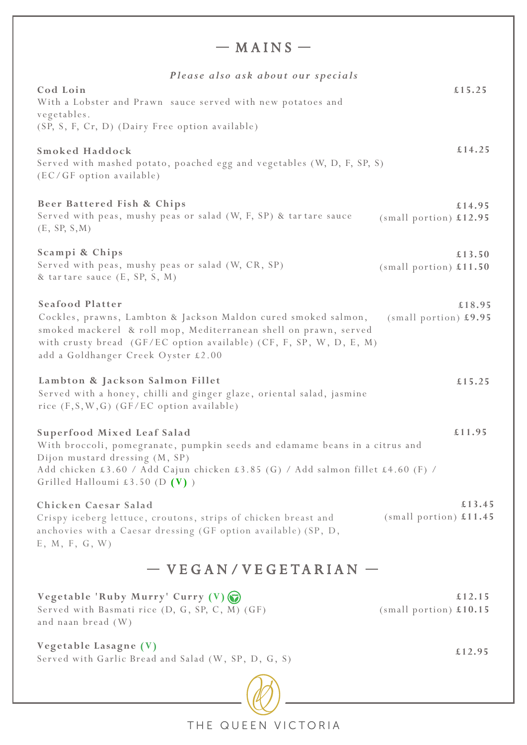| $-$ MAINS $-$                                                                                                                                                                                                                                                             |                                    |  |
|---------------------------------------------------------------------------------------------------------------------------------------------------------------------------------------------------------------------------------------------------------------------------|------------------------------------|--|
| Please also ask about our specials                                                                                                                                                                                                                                        |                                    |  |
| Cod Loin<br>With a Lobster and Prawn sauce served with new potatoes and<br>vegetables.                                                                                                                                                                                    | £15.25                             |  |
| (SP, S, F, Cr, D) (Dairy Free option available)                                                                                                                                                                                                                           |                                    |  |
| <b>Smoked Haddock</b><br>Served with mashed potato, poached egg and vegetables (W, D, F, SP, S)<br>(EC/GF option available)                                                                                                                                               | £14.25                             |  |
| Beer Battered Fish & Chips<br>Served with peas, mushy peas or salad (W, F, SP) & tartare sauce<br>(E, SP, S, M)                                                                                                                                                           | £14.95<br>(small portion) $£12.95$ |  |
| Scampi & Chips<br>Served with peas, mushy peas or salad (W, CR, SP)<br>& tartare sauce (E, SP, S, M)                                                                                                                                                                      | £13.50<br>(small portion) $£11.50$ |  |
| <b>Seafood Platter</b><br>Cockles, prawns, Lambton & Jackson Maldon cured smoked salmon,<br>smoked mackerel & roll mop, Mediterranean shell on prawn, served<br>with crusty bread (GF/EC option available) (CF, F, SP, W, D, E, M)<br>add a Goldhanger Creek Oyster £2.00 | £18.95<br>$(small$ portion) £9.95  |  |
| Lambton & Jackson Salmon Fillet<br>Served with a honey, chilli and ginger glaze, oriental salad, jasmine<br>rice (F, S, W, G) (GF/EC option available)                                                                                                                    | £15.25                             |  |
| Superfood Mixed Leaf Salad<br>With broccoli, pomegranate, pumpkin seeds and edamame beans in a citrus and<br>Dijon mustard dressing (M, SP)<br>Add chicken £3.60 / Add Cajun chicken £3.85 (G) / Add salmon fillet £4.60 (F) /<br>Grilled Halloumi £3.50 (D $(V)$ )       | £11.95                             |  |
| Chicken Caesar Salad<br>Crispy iceberg lettuce, croutons, strips of chicken breast and<br>anchovies with a Caesar dressing (GF option available) (SP, D,<br>E, M, F, G, W                                                                                                 | £13.45<br>(small portion) $£11.45$ |  |
| $-$ VEGAN/VEGETARIAN $-$                                                                                                                                                                                                                                                  |                                    |  |
| Vegetable 'Ruby Murry' Curry (V)<br>Served with Basmati rice (D, G, SP, C, M) (GF)<br>and naan bread (W)                                                                                                                                                                  | £12.15<br>(small portion) $£10.15$ |  |
| Vegetable Lasagne (V)<br>Served with Garlic Bread and Salad (W, SP, D, G, S)                                                                                                                                                                                              | £12.95                             |  |

THE QUEEN VICTORIA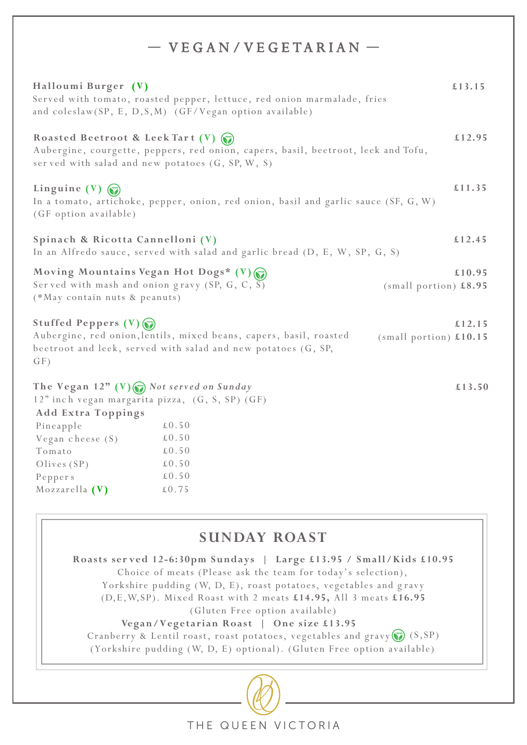# $-$  VEGAN/VEGETARIAN  $-$

| Halloumi Burger (V)                                                                                                                     | Served with tomato, roasted pepper, lettuce, red onion marmalade, fries<br>and coleslaw(SP, E, D, S, M) (GF/Vegan option available) | £13.15                             |
|-----------------------------------------------------------------------------------------------------------------------------------------|-------------------------------------------------------------------------------------------------------------------------------------|------------------------------------|
| Roasted Beetroot & Leek Tart (V)<br>served with salad and new potatoes (G, SP, W, S)                                                    | Aubergine, courgette, peppers, red onion, capers, basil, beetroot, leek and Tofu,                                                   | £12.95                             |
| Linguine (V) $\binom{m}{n}$<br>(GF option available)                                                                                    | In a tomato, artichoke, pepper, onion, red onion, basil and garlic sauce (SF, G, W)                                                 | £11.35                             |
| Spinach & Ricotta Cannelloni (V)                                                                                                        | In an Alfredo sauce, served with salad and garlic bread (D, E, W, SP, G, S)                                                         | £12.45                             |
| Moving Mountains Vegan Hot Dogs* $(V)$<br>Served with mash and onion gravy (SP, G, C, $\overline{S}$ )<br>(*May contain nuts & peanuts) |                                                                                                                                     | £10.95<br>(small portion) $£8.95$  |
| Stuffed Peppers (V)<br>GF)                                                                                                              | Aubergine, red onion, lentils, mixed beans, capers, basil, roasted<br>beetroot and leek, served with salad and new potatoes (G, SP, | £12.15<br>(small portion) $£10.15$ |
| The Vegan $12"$ (V) $\odot$ Not served on Sunday<br>12" inch vegan margarita pizza, (G, S, SP) (GF)<br><b>Add Extra Toppings</b>        |                                                                                                                                     | £13.50                             |
| Pineapple                                                                                                                               | $\pounds 0.50$                                                                                                                      |                                    |
| Vegan cheese $(S)$                                                                                                                      | $\pounds$ 0.50                                                                                                                      |                                    |
| Tomato                                                                                                                                  | $\pounds 0.50$                                                                                                                      |                                    |
| Olives $(SP)$                                                                                                                           | $\pounds 0.50$                                                                                                                      |                                    |
| Peppers                                                                                                                                 | $\pounds 0.50$                                                                                                                      |                                    |
| Mozzarella $(V)$                                                                                                                        | $\pounds0.75$                                                                                                                       |                                    |

# **SUNDAY ROAST**

**Roasts ser ved 12-6:30pm Sundays | Large £13.95 / Small/Kids £10.95** Choice of meats (Please ask the team for today's selection), Yorkshire pudding (W, D, E), roast potatoes, vegetables and gravy (D,E,W,SP). Mixed Roast with 2 meats **£14.95,** All 3 meats **£16.95** (Gluten Free option available) **Vegan/Vegetarian Roast | One size £13.95**  Cranberry & Lentil roast, roast potatoes, vegetables and gravy  $\left(\overline{\mathbf{S}}\right)$  (S, SP) (Yorkshire pudding (W, D, E) optional). (Gluten Free option available)



THE QUEEN VICTORIA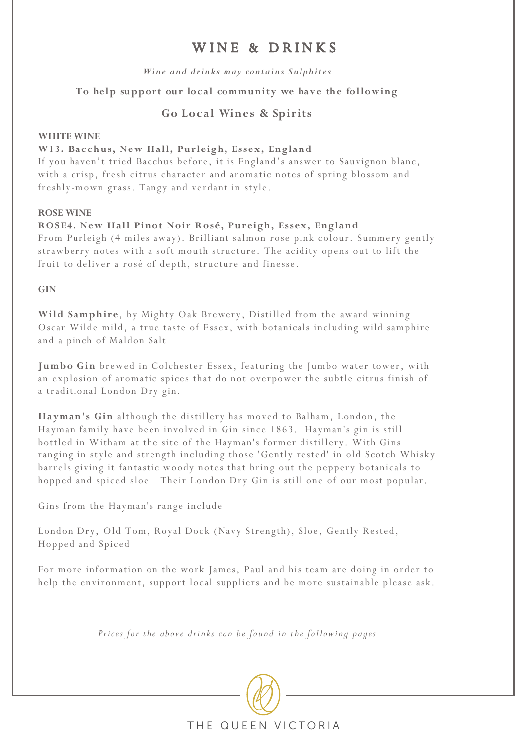# WINE & DRINKS

### *Wine and drinks may contains Sulphites*

**To help support our local community we have the following** 

## **Go Local Wines & Spirits**

### **WHITE WINE**

### **W13. Bacchus, New Hall, Purleigh, Essex, England**

If you haven't tried Bacchus before, it is England's answer to Sauvignon blanc, with a crisp, fresh citrus character and aromatic notes of spring blossom and freshly-mown grass. Tangy and verdant in style.

### **ROSE WINE**

### **ROSE4. New Hall Pinot Noir Rosé, Pureigh, Essex, England**

From Purleigh (4 miles away). Brilliant salmon rose pink colour. Summery gently strawberry notes with a soft mouth structure. The acidity opens out to lift the fruit to deliver a rosé of depth, structure and finesse.

**GIN**

**Wild Samphire**, by Mighty Oak Brewery, Distilled from the award winning Oscar Wilde mild, a true taste of Essex, with botanicals including wild samphire and a pinch of Maldon Salt

**Jumbo Gin** brewed in Colchester Essex, featuring the Jumbo water tower, with an explosion of aromatic spices that do not overpower the subtle citrus finish of a traditional London Dry gin.

**Hayman's Gin** although the distillery has moved to Balham, London, the Hayman family have been involved in Gin since 1863. Hayman's gin is still bottled in Witham at the site of the Hayman's former distillery. With Gins ranging in style and strength including those 'Gently rested' in old Scotch Whisky barrels giving it fantastic woody notes that bring out the peppery botanicals to hopped and spiced sloe. Their London Dry Gin is still one of our most popular.

Gins from the Hayman's range include

London Dry, Old Tom, Royal Dock (Navy Strength), Sloe, Gently Rested, Hopped and Spiced

For more information on the work James, Paul and his team are doing in order to help the environment, support local suppliers and be more sustainable please ask.

*Prices for the above drinks can be found in the following pages*

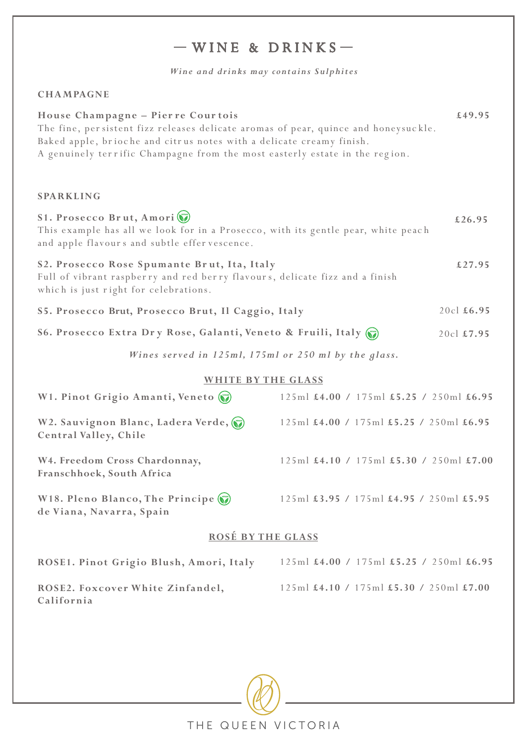# $-WINE & DRINKS -$

*Wine and drinks may contains Sulphites*

## **CHAM**

| House Champagne - Pierre Courtois<br>The fine, persistent fizz releases delicate aromas of pear, quince and honeysuckle.<br>Baked apple, brioche and citrus notes with a delicate creamy finish.<br>A genuinely terrific Champagne from the most easterly estate in the region. | £49.95     |
|---------------------------------------------------------------------------------------------------------------------------------------------------------------------------------------------------------------------------------------------------------------------------------|------------|
| <b>SPARKLING</b>                                                                                                                                                                                                                                                                |            |
| S1. Prosecco Brut, Amori<br>This example has all we look for in a Prosecco, with its gentle pear, white peach<br>and apple flavours and subtle effer vescence.                                                                                                                  | £26.95     |
| S2. Prosecco Rose Spumante Brut, Ita, Italy<br>Full of vibrant raspberry and red berry flavours, delicate fizz and a finish<br>which is just right for celebrations.                                                                                                            | £27.95     |
| S5. Prosecco Brut, Prosecco Brut, Il Caggio, Italy                                                                                                                                                                                                                              | 20cl £6.95 |
| S6. Prosecco Extra Dry Rose, Galanti, Veneto & Fruili, Italy (                                                                                                                                                                                                                  | 20cl £7.95 |
| Wines served in 125ml, 175ml or 250 ml by the glass.                                                                                                                                                                                                                            |            |

### **WHITE BY THE GLASS**

| W1. Pinot Grigio Amanti, Veneto                             | $125 \text{ml}$ £4.00 / 175ml £5.25 / 250ml £6.95                     |  |
|-------------------------------------------------------------|-----------------------------------------------------------------------|--|
| W2. Sauvignon Blanc, Ladera Verde,<br>Central Valley, Chile | 125ml £4.00 / 175ml £5.25 / 250ml £6.95                               |  |
| W4. Freedom Cross Chardonnay,<br>Franschhoek, South Africa  | $125 \text{ml}$ £4.10 / $175 \text{ml}$ £5.30 / $250 \text{ml}$ £7.00 |  |
| W18. Pleno Blanco, The Principe<br>de Viana, Navarra, Spain | 125ml £3.95 / 175ml £4.95 / 250ml £5.95                               |  |
| <b>ROSÉ BY THE GLASS</b>                                    |                                                                       |  |

| ROSE1. Pinot Grigio Blush, Amori, Italy | 125ml $\text{\pounds}4.00$ / 175ml $\text{\pounds}5.25$ / 250ml $\text{\pounds}6.95$ |
|-----------------------------------------|--------------------------------------------------------------------------------------|
| ROSE2. Foxcover White Zinfandel,        | $125 \text{ml}$ £4.10 / 175ml £5.30 / 250ml £7.00                                    |
| California                              |                                                                                      |

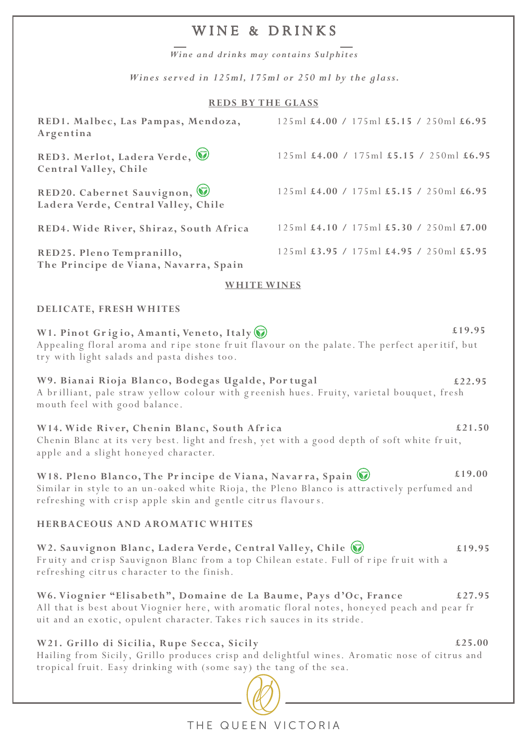# WINE & DRINKS

*Wine and drinks may contains Sulphites*

*Wines served in 125ml, 175ml or 250 ml by the glass.*

## **REDS BY THE GLASS**

| RED1. Malbec, Las Pampas, Mendoza,<br>Argentina                                                                                                                                                                                           | 125ml £4.00 / 175ml £5.15 / 250ml £6.95 |        |
|-------------------------------------------------------------------------------------------------------------------------------------------------------------------------------------------------------------------------------------------|-----------------------------------------|--------|
| RED3. Merlot, Ladera Verde,<br>Central Valley, Chile                                                                                                                                                                                      | 125ml £4.00 / 175ml £5.15 / 250ml £6.95 |        |
| RED20. Cabernet Sauvignon,<br>Ladera Verde, Central Valley, Chile                                                                                                                                                                         | 125ml £4.00 / 175ml £5.15 / 250ml £6.95 |        |
| RED4. Wide River, Shiraz, South Africa                                                                                                                                                                                                    | 125ml £4.10 / 175ml £5.30 / 250ml £7.00 |        |
| RED25. Pleno Tempranillo,<br>The Principe de Viana, Navarra, Spain                                                                                                                                                                        | 125ml £3.95 / 175ml £4.95 / 250ml £5.95 |        |
| <b>WHITE WINES</b>                                                                                                                                                                                                                        |                                         |        |
| DELICATE, FRESH WHITES                                                                                                                                                                                                                    |                                         |        |
| W1. Pinot Grigio, Amanti, Veneto, Italy<br>Appealing floral aroma and ripe stone fruit flavour on the palate. The perfect aperitif, but<br>try with light salads and pasta dishes too.                                                    |                                         | £19.95 |
| W9. Bianai Rioja Blanco, Bodegas Ugalde, Portugal<br>A brilliant, pale straw yellow colour with greenish hues. Fruity, varietal bouquet, fresh<br>mouth feel with good balance.                                                           |                                         | £22.95 |
| W14. Wide River, Chenin Blanc, South Africa<br>Chenin Blanc at its very best. light and fresh, yet with a good depth of soft white fruit,<br>apple and a slight honeyed character.                                                        |                                         | £21.50 |
| £19.00<br>W18. Pleno Blanco, The Principe de Viana, Navarra, Spain (<br>Similar in style to an un-oaked white Rioja, the Pleno Blanco is attractively perfumed and<br>refreshing with crisp apple skin and gentle citrus flavours.        |                                         |        |
| <b>HERBACEOUS AND AROMATIC WHITES</b>                                                                                                                                                                                                     |                                         |        |
| W2. Sauvignon Blanc, Ladera Verde, Central Valley, Chile (<br>Fruity and crisp Sauvignon Blanc from a top Chilean estate. Full of ripe fruit with a<br>refreshing citrus character to the finish.                                         |                                         | £19.95 |
| W6. Viognier "Elisabeth", Domaine de La Baume, Pays d'Oc, France<br>All that is best about Viognier here, with aromatic floral notes, honeyed peach and pear fr<br>uit and an exotic, opulent character. Takes rich sauces in its stride. |                                         | £27.95 |
| W21. Grillo di Sicilia, Rupe Secca, Sicily<br>Hailing from Sicily, Grillo produces crisp and delightful wines. Aromatic nose of citrus and<br>tropical fruit. Easy drinking with (some say) the tang of the sea.                          |                                         | £25.00 |
|                                                                                                                                                                                                                                           |                                         |        |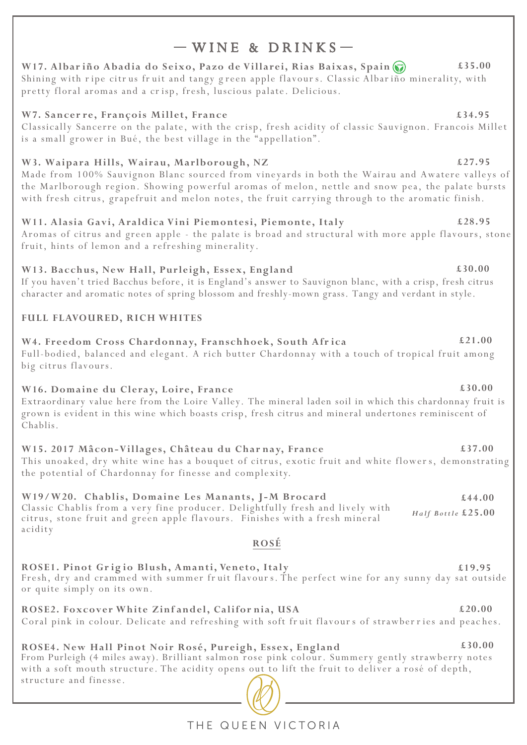# $-WINE R DRINKS-$

W17. Albariño Abadia do Seixo, Pazo de Villarei, Rias Baixas, Spain ( **£35.00** Shining with ripe citrus fruit and tangy green apple flavours. Classic Albariño minerality, with pretty floral aromas and a crisp, fresh, luscious palate. Delicious.

## W7. Sancerre, François Millet, France

Classically Sancerre on the palate, with the crisp, fresh acidity of classic Sauvignon. Francois Millet is a small grower in Bué, the best village in the "appellation".

## W3. Waipara Hills, Wairau, Marlborough, NZ

Made from 100% Sauvignon Blanc sourced from vineyards in both the Wairau and Awatere valleys of the Marlborough region. Showing powerful aromas of melon, nettle and snow pea, the palate bursts with fresh citrus, grapefruit and melon notes, the fruit carrying through to the aromatic finish.

## W11. Alasia Gavi, Araldica Vini Piemontesi, Piemonte, Italy

Aromas of citrus and green apple - the palate is broad and structural with more apple flavours, stone fruit, hints of lemon and a refreshing minerality.

## W13. Bacchus, New Hall, Purleigh, Essex, England

If you haven't tried Bacchus before, it is England's answer to Sauvignon blanc, with a crisp, fresh citrus character and aromatic notes of spring blossom and freshly-mown grass. Tangy and verdant in style.

## FULL FLAVOURED, RICH WHITES

## W4. Freedom Cross Chardonnay, Franschhoek, South Africa

Full-bodied, balanced and elegant. A rich butter Chardonnay with a touch of tropical fruit among big citrus flavours.

## W16. Domaine du Cleray, Loire, France

Extraordinary value here from the Loire Valley. The mineral laden soil in which this chardonnay fruit is grown is evident in this wine which boasts crisp, fresh citrus and mineral undertones reminiscent of Chablis.

## W15. 2017 Mâcon-Villages, Château du Charnay, France

This unoaked, dry white wine has a bouquet of citrus, exotic fruit and white flowers, demonstrating the potential of Chardonnay for finesse and complexity.

## W19/W20. Chablis, Domaine Les Manants, J-M Brocard

Classic Chablis from a very fine producer. Delightfully fresh and lively with *Half Bottle* **£25.00**citrus, stone fruit and green apple flavours. Finishes with a fresh mineral acidity

## **ROSÉ**

ROSE1. Pinot Grigio Blush, Amanti, Veneto, Italy **ROSE1. Pinot Grigio Blush, Amanti, Veneto, Italy fight** that the perfect wine for any sunny day sat outside Fresh, dry and crammed with summer fruit flavours. The perfect wine for any sunny day sat outside or quite simply on its own.

**£20.00**  ROSE2. Foxcover White Zinfandel, California, USA Coral pink in colour. Delicate and refreshing with soft fruit flavours of strawberries and peaches.

### **ROSE4. New Hall Pinot Noir Rosé, Pureigh, Essex, England £30.00** From Purleigh (4 miles away). Brilliant salmon rose pink colour. Summery gently strawberry notes with a soft mouth structure. The acidity opens out to lift the fruit to deliver a rosé of depth, structure and finesse.

**£34.95**

**£27.95**

## **£30.00**

**£21.00**

## **£37.00**

# **£44.00**

### **£28.95**

## **£30.00**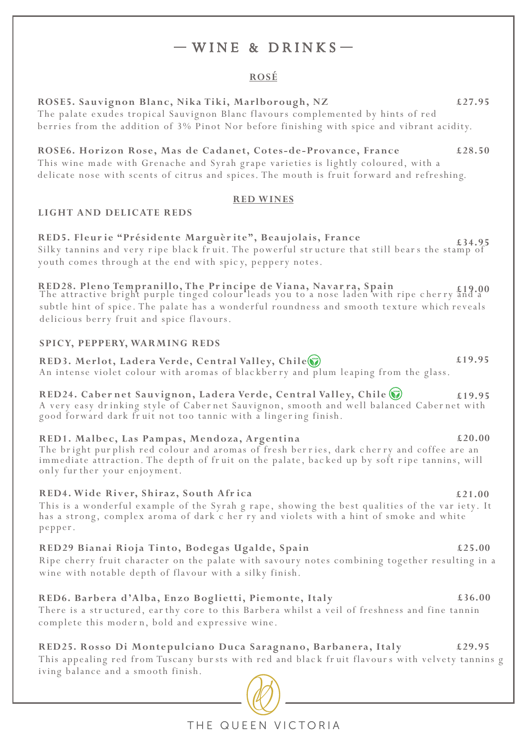# $-WINE & DRINKS$

## **ROSÉ**

| <u>NUSE</u>                                                                                                                                                                                                                                                                                                |        |
|------------------------------------------------------------------------------------------------------------------------------------------------------------------------------------------------------------------------------------------------------------------------------------------------------------|--------|
| ROSE5. Sauvignon Blanc, Nika Tiki, Marlborough, NZ<br>The palate exudes tropical Sauvignon Blanc flavours complemented by hints of red<br>berries from the addition of 3% Pinot Nor before finishing with spice and vibrant acidity.                                                                       | £27.95 |
| ROSE6. Horizon Rose, Mas de Cadanet, Cotes-de-Provance, France<br>This wine made with Grenache and Syrah grape varieties is lightly coloured, with a<br>delicate nose with scents of citrus and spices. The mouth is fruit forward and refreshing.                                                         | £28.50 |
| <b>RED WINES</b>                                                                                                                                                                                                                                                                                           |        |
| LIGHT AND DELICATE REDS                                                                                                                                                                                                                                                                                    |        |
| RED5. Fleurie "Présidente Marguèrite", Beaujolais, France<br>Silky tannins and very ripe black fruit. The powerful structure that still bears the stamp of<br>youth comes through at the end with spicy, peppery notes.                                                                                    | £34.95 |
| RED28. Pleno Tempranillo, The Principe de Viana, Navarra, Spain<br>The attractive bright purple tinged colour leads you to a nose laden with ripe cherry and a<br>subtle hint of spice. The palate has a wonderful roundness and smooth texture which reveals<br>delicious berry fruit and spice flavours. |        |
| <b>SPICY, PEPPERY, WARMING REDS</b>                                                                                                                                                                                                                                                                        |        |
| RED3. Merlot, Ladera Verde, Central Valley, Chile(<br>An intense violet colour with aromas of blackberry and plum leaping from the glass.                                                                                                                                                                  | £19.95 |
| RED24. Cabernet Sauvignon, Ladera Verde, Central Valley, Chile<br>A very easy drinking style of Cabernet Sauvignon, smooth and well balanced Cabernet with<br>good forward dark fruit not too tannic with a lingering finish.                                                                              | £19.95 |
| RED1. Malbec, Las Pampas, Mendoza, Argentina<br>The bright purplish red colour and aromas of fresh berries, dark cherry and coffee are an<br>immediate attraction. The depth of fruit on the palate, backed up by soft ripe tannins, will<br>only fur ther your enjoyment.                                 | £20.00 |
| RED4. Wide River, Shiraz, South Africa<br>This is a wonderful example of the Syrah g rape, showing the best qualities of the var iety. It<br>has a strong, complex aroma of dark c her ry and violets with a hint of smoke and white<br>pepper.                                                            | £21.00 |
| RED29 Bianai Rioja Tinto, Bodegas Ugalde, Spain<br>Ripe cherry fruit character on the palate with savoury notes combining together resulting in a<br>wine with notable depth of flavour with a silky finish.                                                                                               | £25.00 |
| RED6. Barbera d'Alba, Enzo Boglietti, Piemonte, Italy<br>There is a structured, earthy core to this Barbera whilst a veil of freshness and fine tannin<br>complete this modern, bold and expressive wine.                                                                                                  | £36.00 |
| RED25. Rosso Di Montepulciano Duca Saragnano, Barbanera, Italy<br>This appealing red from Tuscany bursts with red and black fruit flavours with velvety tannins g<br>iving balance and a smooth finish.                                                                                                    | £29.95 |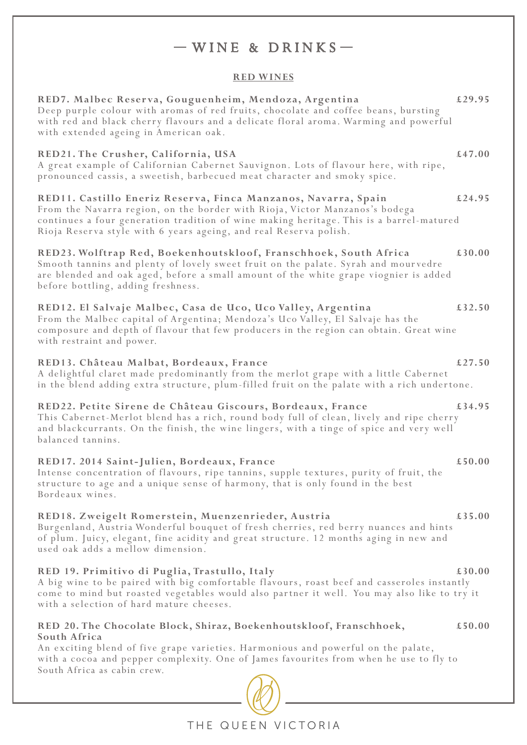# $-WINE & DRINKS$

## **RED WINES**

| RED7. Malbec Reserva, Gouguenheim, Mendoza, Argentina<br>Deep purple colour with aromas of red fruits, chocolate and coffee beans, bursting<br>with red and black cherry flavours and a delicate floral aroma. Warming and powerful<br>with extended ageing in American oak.                                  | £29.95 |
|---------------------------------------------------------------------------------------------------------------------------------------------------------------------------------------------------------------------------------------------------------------------------------------------------------------|--------|
| RED21. The Crusher, California, USA<br>A great example of Californian Cabernet Sauvignon. Lots of flavour here, with ripe,<br>pronounced cassis, a sweetish, barbecued meat character and smoky spice.                                                                                                        | £47.00 |
| RED11. Castillo Eneriz Reserva, Finca Manzanos, Navarra, Spain<br>From the Navarra region, on the border with Rioja, Victor Manzanos's bodega<br>continues a four generation tradition of wine making heritage. This is a barrel-matured<br>Rioja Reserva style with 6 years ageing, and real Reserva polish. | £24.95 |
| RED23. Wolftrap Red, Boekenhoutskloof, Franschhoek, South Africa<br>Smooth tannins and plenty of lovely sweet fruit on the palate. Syrah and mourvedre<br>are blended and oak aged, before a small amount of the white grape viognier is added<br>before bottling, adding freshness.                          | £30.00 |
| RED12. El Salvaje Malbec, Casa de Uco, Uco Valley, Argentina<br>From the Malbec capital of Argentina; Mendoza's Uco Valley, El Salvaje has the<br>composure and depth of flavour that few producers in the region can obtain. Great wine<br>with restraint and power.                                         | £32.50 |
| RED13. Château Malbat, Bordeaux, France<br>A delightful claret made predominantly from the merlot grape with a little Cabernet<br>in the blend adding extra structure, plum-filled fruit on the palate with a rich undertone.                                                                                 | £27.50 |
| RED22. Petite Sirene de Château Giscours, Bordeaux, France<br>This Cabernet-Merlot blend has a rich, round body full of clean, lively and ripe cherry<br>and blackcurrants. On the finish, the wine lingers, with a tinge of spice and very well<br>balanced tannins.                                         | £34.95 |
| RED17. 2014 Saint-Julien, Bordeaux, France<br>Intense concentration of flavours, ripe tannins, supple textures, purity of fruit, the<br>structure to age and a unique sense of harmony, that is only found in the best<br>Bordeaux wines.                                                                     | £50.00 |
| RED18. Zweigelt Romerstein, Muenzenrieder, Austria<br>Burgenland, Austria Wonderful bouquet of fresh cherries, red berry nuances and hints<br>of plum. Juicy, elegant, fine acidity and great structure. 12 months aging in new and<br>used oak adds a mellow dimension.                                      | £35.00 |
| RED 19. Primitivo di Puglia, Trastullo, Italy<br>A big wine to be paired with big comfortable flavours, roast beef and casseroles instantly<br>come to mind but roasted vegetables would also partner it well. You may also like to try it<br>with a selection of hard mature cheeses.                        | £30.00 |
| RED 20. The Chocolate Block, Shiraz, Boekenhoutskloof, Franschhoek,<br>South Africa<br>An exciting blend of five grape varieties. Harmonious and powerful on the palate,<br>with a cocoa and pepper complexity. One of James favourites from when he use to fly to<br>South Africa as cabin crew.             | £50.00 |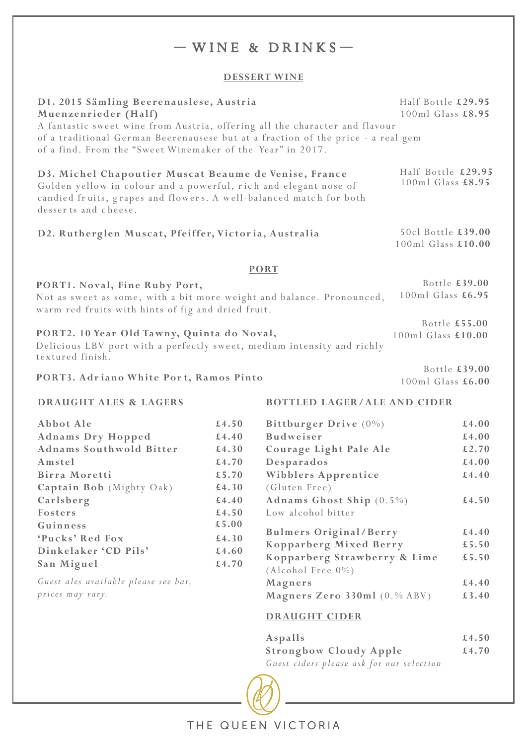# $-WINE$  & DRINKS-

## **DESSERT WINE**

| D1. 2015 Sämling Beerenauslese, Austria<br>Muenzenrieder (Half)<br>A fantastic sweet wine from Austria, offering all the character and flavour                                                                          |       |                                         | Half Bottle £29.95<br>100ml Glass £8.95  |  |
|-------------------------------------------------------------------------------------------------------------------------------------------------------------------------------------------------------------------------|-------|-----------------------------------------|------------------------------------------|--|
| of a traditional German Beerenausese but at a fraction of the price - a real gem<br>of a find. From the "Sweet Winemaker of the Year" in 2017.                                                                          |       |                                         |                                          |  |
| D3. Michel Chapoutier Muscat Beaume de Venise, France<br>Golden yellow in colour and a powerful, rich and elegant nose of<br>candied fruits, grapes and flowers. A well-balanced match for both<br>desserts and cheese. |       |                                         | Half Bottle £29.95<br>100ml Glass £8.95  |  |
| D2. Rutherglen Muscat, Pfeiffer, Victoria, Australia                                                                                                                                                                    |       |                                         | 50cl Bottle £39.00<br>100ml Glass £10.00 |  |
|                                                                                                                                                                                                                         |       | <b>PORT</b>                             |                                          |  |
| PORT1. Noval, Fine Ruby Port,<br>Not as sweet as some, with a bit more weight and balance. Pronounced,<br>warm red fruits with hints of fig and dried fruit.                                                            |       |                                         | Bottle £39.00<br>100ml Glass £6.95       |  |
| PORT2. 10 Year Old Tawny, Quinta do Noval,<br>Delicious LBV port with a perfectly sweet, medium intensity and richly<br>textured finish.                                                                                |       |                                         | Bottle £55.00<br>100ml Glass £10.00      |  |
| PORT3. Adriano White Port, Ramos Pinto                                                                                                                                                                                  |       | Bottle £39.00<br>100ml Glass £6.00      |                                          |  |
| <b>BOTTLED LAGER/ALE AND CIDER</b><br><b>DRAUGHT ALES &amp; LAGERS</b>                                                                                                                                                  |       |                                         |                                          |  |
| Abbot Ale                                                                                                                                                                                                               | £4.50 | Bittburger Drive $(0\%)$                | £4.00                                    |  |
| <b>Adnams Dry Hopped</b>                                                                                                                                                                                                | £4.40 | <b>Budweiser</b>                        | £4.00                                    |  |
| <b>Adnams Southwold Bitter</b>                                                                                                                                                                                          | £4.30 | Courage Light Pale Ale                  | £2.70                                    |  |
| Amstel                                                                                                                                                                                                                  | £4.70 | Desparados                              | £4.00                                    |  |
| Birra Moretti                                                                                                                                                                                                           | £5.70 | Wibblers Apprentice                     | £4.40                                    |  |
| Captain Bob (Mighty Oak)                                                                                                                                                                                                | £4.30 | (Gluten Free)                           |                                          |  |
| Carlsberg                                                                                                                                                                                                               | £4.40 | Adnams Ghost Ship $(0.5\%)$             | £4.50                                    |  |
| Fosters                                                                                                                                                                                                                 | £4.50 | Low alcohol bitter                      |                                          |  |
| Guinness                                                                                                                                                                                                                | £5.00 | <b>Bulmers Original/Berry</b>           | £4.40                                    |  |
| 'Pucks' Red Fox                                                                                                                                                                                                         | £4.30 | Kopparberg Mixed Berry                  | £5.50                                    |  |
| Dinkelaker 'CD Pils'                                                                                                                                                                                                    | £4.60 | Kopparberg Strawberry & Lime            | £5.50                                    |  |
| San Miguel                                                                                                                                                                                                              | £4.70 | $(Alcohol Free 0\%)$                    |                                          |  |
| Guest ales available please see bar,                                                                                                                                                                                    |       |                                         |                                          |  |
|                                                                                                                                                                                                                         |       |                                         | £4.40                                    |  |
| prices may vary.                                                                                                                                                                                                        |       | Magners<br>Magners Zero 330ml (0.% ABV) | £3.40                                    |  |
|                                                                                                                                                                                                                         |       | <b>DRAUGHT CIDER</b>                    |                                          |  |

| Aspalls                                   | £4.50 |
|-------------------------------------------|-------|
| <b>Strongbow Cloudy Apple</b>             | £4.70 |
| Guest ciders please ask for our selection |       |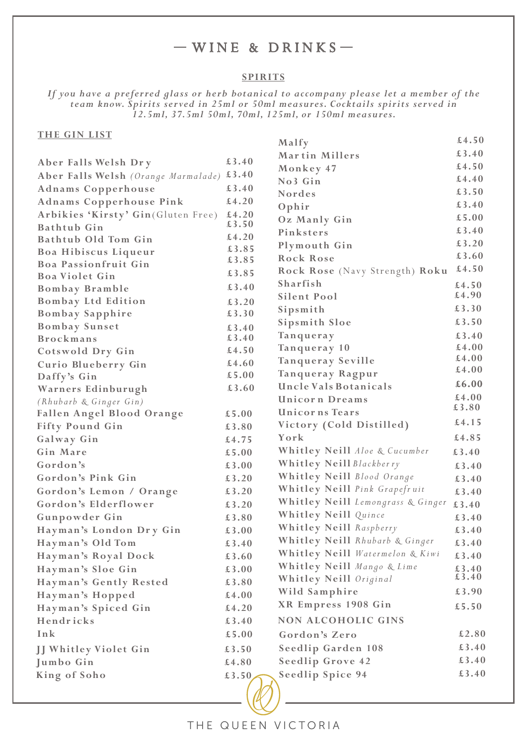# $-WINE & DRINKS$

### **SPIRITS**

*If you have a preferred glass or herb botanical to accompany please let a member of the team know. Spirits served in 25ml or 50ml measures. Cocktails spirits served in 12.5ml, 37.5ml 50ml, 70ml, 125ml, or 150ml measures.*

| <b>THE GIN LIST</b>                 |       |                                   | £4.50 |
|-------------------------------------|-------|-----------------------------------|-------|
|                                     |       | Malfy                             | £3.40 |
| Aber Falls Welsh Dry                | £3.40 | Martin Millers                    | £4.50 |
| Aber Falls Welsh (Orange Marmalade) | £3.40 | Monkey 47                         | £4.40 |
| <b>Adnams Copperhouse</b>           | £3.40 | No3 Gin                           | £3.50 |
| <b>Adnams Copperhouse Pink</b>      | £4.20 | <b>Nordes</b>                     | £3.40 |
| Arbikies 'Kirsty' Gin(Gluten Free)  | £4.20 | Ophir                             | £5.00 |
| <b>Bathtub</b> Gin                  | £3.50 | Oz Manly Gin                      | £3.40 |
| Bathtub Old Tom Gin                 | £4.20 | Pinksters                         | £3.20 |
| Boa Hibiscus Liqueur                | £3.85 | Plymouth Gin                      | £3.60 |
| Boa Passionfruit Gin                | £3.85 | Rock Rose                         |       |
| <b>Boa Violet Gin</b>               | £3.85 | Rock Rose (Navy Strength) Roku    | £4.50 |
| Bombay Bramble                      | £3.40 | Sharfish                          | £4.50 |
| <b>Bombay Ltd Edition</b>           | £3.20 | Silent Pool                       | £4.90 |
| <b>Bombay Sapphire</b>              | £3.30 | Sipsmith                          | £3.30 |
| <b>Bombay Sunset</b>                | £3.40 | Sipsmith Sloe                     | £3.50 |
| <b>Brockmans</b>                    | £3.40 | Tanqueray                         | £3.40 |
| Cotswold Dry Gin                    | £4.50 | Tanqueray 10                      | £4.00 |
| Curio Blueberry Gin                 | £4.60 | Tanqueray Seville                 | £4.00 |
| Daffy's Gin                         | £5.00 | Tanqueray Ragpur                  | £4.00 |
| Warners Edinburugh                  | £3.60 | Uncle Vals Botanicals             | £6.00 |
| (Rhubarb & Ginger Gin)              |       | Unicorn Dreams                    | £4.00 |
| Fallen Angel Blood Orange           | £5.00 | Unicorns Tears                    | £3.80 |
| <b>Fifty Pound Gin</b>              | £3.80 | Victory (Cold Distilled)          | £4.15 |
| Galway Gin                          | £4.75 | York                              | £4.85 |
| Gin Mare                            | £5.00 | Whitley Neill Aloe & Cucumber     | £3.40 |
| Gordon's                            | £3.00 | Whitley Neill Blackberry          | £3.40 |
| Gordon's Pink Gin                   | £3.20 | Whitley Neill Blood Orange        | £3.40 |
| Gordon's Lemon / Orange             | £3.20 | Whitley Neill Pink Grapefruit     | £3.40 |
| Gordon's Elderflower                | £3.20 | Whitley Neill Lemongrass & Ginger | £3.40 |
| Gunpowder Gin                       | £3.80 | Whitley Neill Quince              | £3.40 |
| Hayman's London Dry Gin             | £3.00 | Whitley Neill Raspberry           | £3.40 |
| Hayman's Old Tom                    | £3.40 | Whitley Neill Rhubarb & Ginger    | £3.40 |
| Hayman's Royal Dock                 | £3.60 | Whitley Neill Watermelon & Kiwi   | £3.40 |
| Hayman's Sloe Gin                   | £3.00 | Whitley Neill Mango & Lime        | £3.40 |
| Hayman's Gently Rested              | £3.80 | Whitley Neill Original            | £3.40 |
| Hayman's Hopped                     | £4.00 | Wild Samphire                     | £3.90 |
| Hayman's Spiced Gin                 | £4.20 | XR Empress 1908 Gin               | £5.50 |
| Hendricks                           | £3.40 | <b>NON ALCOHOLIC GINS</b>         |       |
| Ink                                 | £5.00 | Gordon's Zero                     | £2.80 |
|                                     |       | Seedlip Garden 108                | £3.40 |
| JJ Whitley Violet Gin               | £3.50 |                                   | £3.40 |
| Jumbo Gin                           | £4.80 | Seedlip Grove 42                  | £3.40 |
| King of Soho                        | £3.50 | Seedlip Spice 94                  |       |
|                                     |       |                                   |       |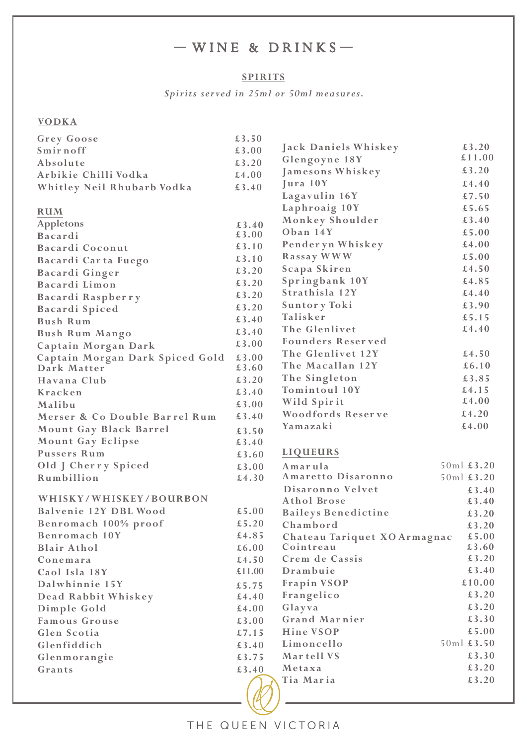# $-WINE$  & DRINKS-

## **SPIRITS**

*Spirits served in 25ml or 50ml measures.*

### **VODKA**

| Grey Goose                      | £3.50  |                              |            |
|---------------------------------|--------|------------------------------|------------|
| Smirnoff                        | €3.00  | Jack Daniels Whiskey         | £3.20      |
| Absolute                        | £3.20  | Glengoyne 18Y                | £11.00     |
| Arbikie Chilli Vodka            | £4.00  | Jamesons Whiskey             | £3.20      |
| Whitley Neil Rhubarb Vodka      | €3.40  | Jura 10Y                     | £4.40      |
|                                 |        | Lagavulin 16Y                | £7.50      |
| <b>RUM</b>                      |        | Laphroaig 10Y                | £5.65      |
| Appletons                       | £3.40  | Monkey Shoulder              | £3.40      |
| Bacardi                         | £3.00  | Oban 14Y                     | £5.00      |
| Bacardi Coconut                 | £3.10  | Pender yn Whiskey            | £4.00      |
| Bacardi Carta Fuego             | £3.10  | Rassay WWW                   | £5.00      |
| Bacardi Ginger                  | £3.20  | Scapa Skiren                 | £4.50      |
| Bacardi Limon                   | £3.20  | Springbank 10Y               | £4.85      |
|                                 | £3.20  | Strathisla 12Y               | £4.40      |
| Bacardi Raspberry               | £3.20  | Suntory Toki                 | £3.90      |
| Bacardi Spiced                  | £3.40  | Talisker                     | £5.15      |
| Bush Rum                        |        | The Glenlivet                | £4.40      |
| <b>Bush Rum Mango</b>           | £3.40  | <b>Founders Reserved</b>     |            |
| Captain Morgan Dark             | £3.00  | The Glenlivet 12Y            | £4.50      |
| Captain Morgan Dark Spiced Gold | €3.00  | The Macallan 12Y             | £6.10      |
| Dark Matter                     | £3.60  | The Singleton                | £3.85      |
| Havana Club                     | £3.20  | Tomintoul 10Y                | £4.15      |
| Kracken                         | £3.40  |                              | £4.00      |
| Malibu                          | £3.00  | Wild Spirit                  | £4.20      |
| Merser & Co Double Barrel Rum   | £3.40  | Woodfords Reserve            |            |
| Mount Gay Black Barrel          | £3.50  | Yamazaki                     | £4.00      |
| Mount Gay Eclipse               | £3.40  |                              |            |
| Pussers Rum                     | £3.60  | <b>LIQUEURS</b>              |            |
| Old J Cherry Spiced             | £3.00  | Amarula                      | 50ml £3.20 |
| Rumbillion                      | £4.30  | Amaretto Disaronno           | 50ml £3.20 |
|                                 |        | Disaronno Velvet             | £3.40      |
| WHISKY/WHISKEY/BOURBON          |        | Athol Brose                  | £3.40      |
| Balvenie 12Y DBL Wood           | £5.00  | <b>Baileys Benedictine</b>   | £3.20      |
| Benromach 100% proof            | £5.20  | Chambord                     | £3.20      |
| Benromach 10Y                   | £4.85  | Chateau Tariquet XO Armagnac | £5.00      |
| <b>Blair Athol</b>              | £6.00  | Cointreau                    | £3.60      |
| Conemara                        | £4.50  | Crem de Cassis               | £3.20      |
| Caol Isla 18Y                   | £11.00 | Drambuie                     | £3.40      |
| Dalwhinnie 15Y                  | £5.75  | Frapin VSOP                  | £10.00     |
| Dead Rabbit Whiskey             | £4.40  | Frangelico                   | £3.20      |
| Dimple Gold                     | £4.00  | Glayva                       | £3.20      |
| Famous Grouse                   | €3.00  | <b>Grand Marnier</b>         | £3.30      |
| Glen Scotia                     | £7.15  | Hine VSOP                    | £5.00      |
| Glenfiddich                     | £3.40  | Limoncello                   | 50ml £3.50 |
| Glenmorangie                    | £3.75  | Mar tell VS                  | £3.30      |
| Grants                          | £3.40  | Metaxa                       | £3.20      |
|                                 |        | Tia Maria                    | £3.20      |
|                                 |        |                              |            |
|                                 |        |                              |            |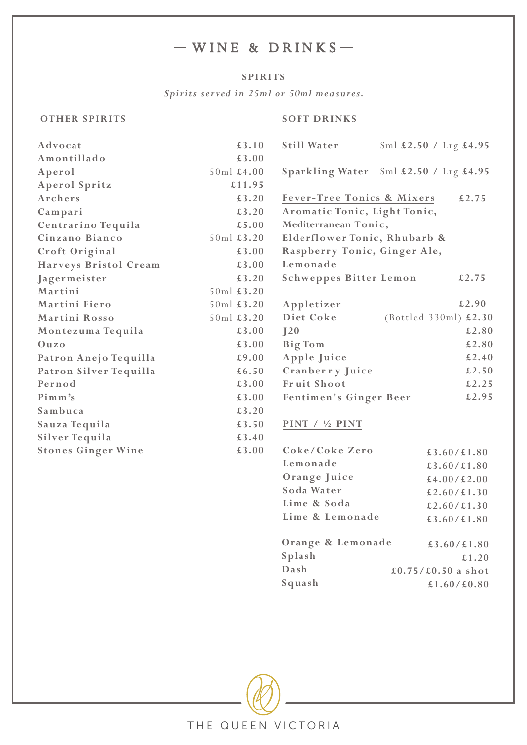# $-WINE & DRINKS -$

### **SPIRITS**

*Spirits served in 25ml or 50ml measures.*

### **OTHER SPIRITS**

## **SOFT DRINKS**

| Advocat                   | £3.10      | <b>Still Water</b>            | Sml £2.50 / Lrg £4.95                 |
|---------------------------|------------|-------------------------------|---------------------------------------|
| Amontillado               | £3.00      |                               |                                       |
| Aperol                    | 50ml £4.00 |                               | Sparkling Water Sml £2.50 / Lrg £4.95 |
| Aperol Spritz             | £11.95     |                               |                                       |
| Archers                   | £3.20      | Fever-Tree Tonics & Mixers    | £2.75                                 |
| Campari                   | £3.20      | Aromatic Tonic, Light Tonic,  |                                       |
| Centrarino Tequila        | £5.00      | Mediterranean Tonic,          |                                       |
| Cinzano Bianco            | 50ml £3.20 | Elderflower Tonic, Rhubarb &  |                                       |
| Croft Original            | £3.00      | Raspberry Tonic, Ginger Ale,  |                                       |
| Harveys Bristol Cream     | £3.00      | Lemonade                      |                                       |
| Jagermeister              | £3.20      | <b>Schweppes Bitter Lemon</b> | £2.75                                 |
| Martini                   | 50ml £3.20 |                               |                                       |
| Martini Fiero             | 50ml £3.20 | Appletizer                    | £2.90                                 |
| Martini Rosso             | 50ml £3.20 | Diet Coke                     | (Bottled 330ml) £2.30                 |
| Montezuma Tequila         | €3.00      | $\sqrt{20}$                   | £2.80                                 |
| $0$ uzo                   | €3.00      | Big Tom                       | £2.80                                 |
| Patron Anejo Tequilla     | £9.00      | Apple Juice                   | £2.40                                 |
| Patron Silver Tequilla    | £6.50      | Cranberry Juice               | £2.50                                 |
| Pernod                    | €3.00      | Fruit Shoot                   | £2.25                                 |
| Pimm's                    | £3.00      | Fentimen's Ginger Beer        | £2.95                                 |
| Sambuca                   | £3.20      |                               |                                       |
| Sauza Tequila             | £3.50      | PINT / 1/2 PINT               |                                       |
| Silver Tequila            | £3.40      |                               |                                       |
| <b>Stones Ginger Wine</b> | £3.00      | Coke/Coke Zero                | £3.60/£1.80                           |
|                           |            | Lemonade                      | £3.60/£1.80                           |
|                           |            | Orange Juice                  | £4.00/£2.00                           |
|                           |            | Soda Water                    | £2.60/£1.30                           |
|                           |            | Lime & Soda                   | £2.60/£1.30                           |

|        | Orange & Lemonade | £3.60/£1.80        |
|--------|-------------------|--------------------|
| Splash |                   | £1.20              |
| Dash   |                   | £0.75/£0.50 a shot |
| Squash |                   | £1.60/£0.80        |

Lime & Lemonade

 **£3.60/£1.80**